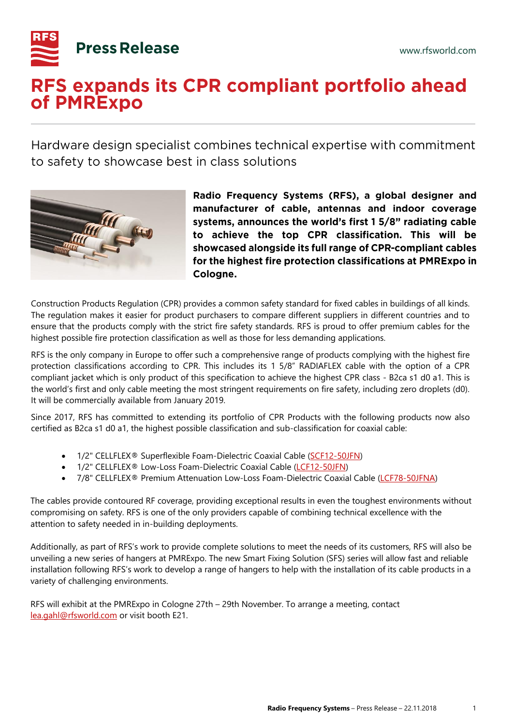

## RFS expands its CPR compliant portfolio ahead of PMRExpo

Hardware design specialist combines technical expertise with commitment to safety to showcase best in class solutions



Radio Frequency Systems (RFS), a global designer and manufacturer of cable, antennas and indoor coverage systems, announces the world's first 1 5/8" radiating cable to achieve the top CPR classification. This will be showcased alongside its full range of CPR-compliant cables for the highest fire protection classifications at PMRExpo in Cologne.

Construction Products Regulation (CPR) provides a common safety standard for fixed cables in buildings of all kinds. The regulation makes it easier for product purchasers to compare different suppliers in different countries and to ensure that the products comply with the strict fire safety standards. RFS is proud to offer premium cables for the highest possible fire protection classification as well as those for less demanding applications.

RFS is the only company in Europe to offer such a comprehensive range of products complying with the highest fire protection classifications according to CPR. This includes its 1 5/8" RADIAFLEX cable with the option of a CPR compliant jacket which is only product of this specification to achieve the highest CPR class - B2ca s1 d0 a1. This is the world's first and only cable meeting the most stringent requirements on fire safety, including zero droplets (d0). It will be commercially available from January 2019.

Since 2017, RFS has committed to extending its portfolio of CPR Products with the following products now also certified as B2ca s1 d0 a1, the highest possible classification and sub-classification for coaxial cable:

- 1/2" CELLFLEX<sup>®</sup> Superflexible Foam-Dielectric Coaxial Cable [\(SCF12-50JFN\)](http://products.rfsworld.com/WebSearchECat/datasheets/pdf/cache/SCF12-50JFN.pdf)
- 1/2" CELLFLEX® Low-Loss Foam-Dielectric Coaxial Cable [\(LCF12-50JFN\)](http://products.rfsworld.com/WebSearchECat/datasheets/pdf/cache/LCF12-50JFN.pdf)
- 7/8" CELLFLEX® Premium Attenuation Low-Loss Foam-Dielectric Coaxial Cable [\(LCF78-50JFNA\)](http://products.rfsworld.com/WebSearchECat/datasheets/pdf/cache/LCF78-50JFNA-A0.pdf)

The cables provide contoured RF coverage, providing exceptional results in even the toughest environments without compromising on safety. RFS is one of the only providers capable of combining technical excellence with the attention to safety needed in in-building deployments.

Additionally, as part of RFS's work to provide complete solutions to meet the needs of its customers, RFS will also be unveiling a new series of hangers at PMRExpo. The new Smart Fixing Solution (SFS) series will allow fast and reliable installation following RFS's work to develop a range of hangers to help with the installation of its cable products in a variety of challenging environments.

RFS will exhibit at the PMRExpo in Cologne 27th – 29th November. To arrange a meeting, contact [lea.gahl@rfsworld.com](mailto:lea.gahl@rfsworld.com) or visit booth E21.